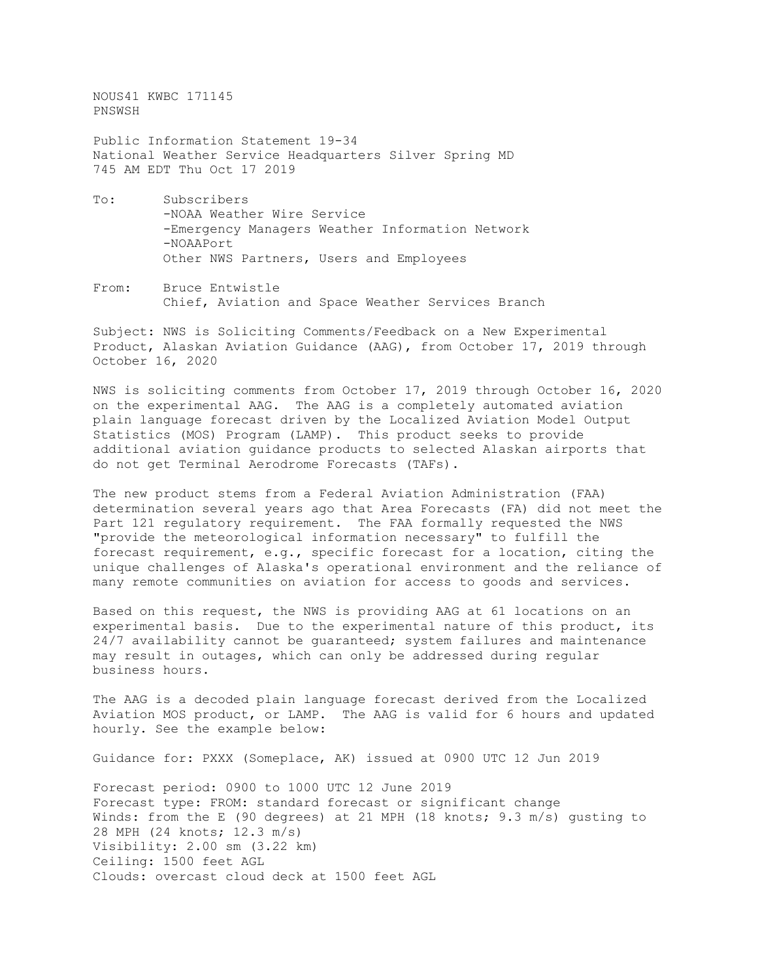NOUS41 KWBC 171145 PNSWSH

Public Information Statement 19-34 National Weather Service Headquarters Silver Spring MD 745 AM EDT Thu Oct 17 2019

- To: Subscribers -NOAA Weather Wire Service -Emergency Managers Weather Information Network -NOAAPort Other NWS Partners, Users and Employees
- From: Bruce Entwistle Chief, Aviation and Space Weather Services Branch

Subject: NWS is Soliciting Comments/Feedback on a New Experimental Product, Alaskan Aviation Guidance (AAG), from October 17, 2019 through October 16, 2020

NWS is soliciting comments from October 17, 2019 through October 16, 2020 on the experimental AAG. The AAG is a completely automated aviation plain language forecast driven by the Localized Aviation Model Output Statistics (MOS) Program (LAMP). This product seeks to provide additional aviation guidance products to selected Alaskan airports that do not get Terminal Aerodrome Forecasts (TAFs).

The new product stems from a Federal Aviation Administration (FAA) determination several years ago that Area Forecasts (FA) did not meet the Part 121 regulatory requirement. The FAA formally requested the NWS "provide the meteorological information necessary" to fulfill the forecast requirement, e.g., specific forecast for a location, citing the unique challenges of Alaska's operational environment and the reliance of many remote communities on aviation for access to goods and services.

Based on this request, the NWS is providing AAG at 61 locations on an experimental basis. Due to the experimental nature of this product, its 24/7 availability cannot be guaranteed; system failures and maintenance may result in outages, which can only be addressed during regular business hours.

The AAG is a decoded plain language forecast derived from the Localized Aviation MOS product, or LAMP. The AAG is valid for 6 hours and updated hourly. See the example below:

Guidance for: PXXX (Someplace, AK) issued at 0900 UTC 12 Jun 2019

Forecast period: 0900 to 1000 UTC 12 June 2019 Forecast type: FROM: standard forecast or significant change Winds: from the E (90 degrees) at 21 MPH (18 knots; 9.3 m/s) gusting to 28 MPH (24 knots; 12.3 m/s) Visibility: 2.00 sm (3.22 km) Ceiling: 1500 feet AGL Clouds: overcast cloud deck at 1500 feet AGL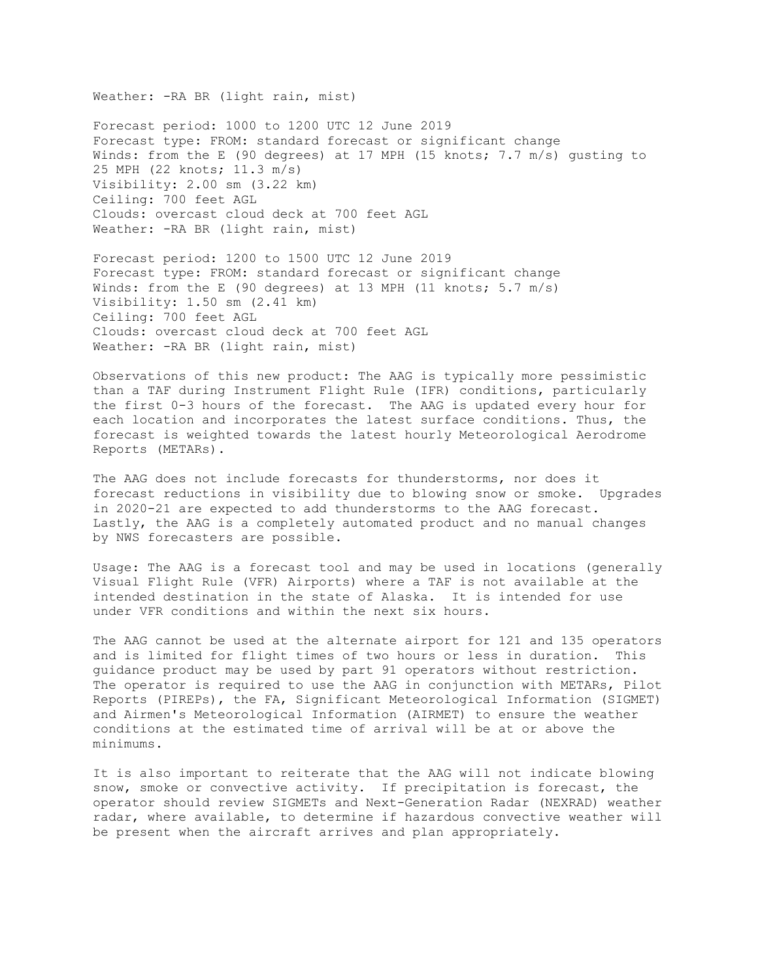Weather: -RA BR (light rain, mist)

Forecast period: 1000 to 1200 UTC 12 June 2019 Forecast type: FROM: standard forecast or significant change Winds: from the E (90 degrees) at 17 MPH (15 knots; 7.7 m/s) gusting to 25 MPH (22 knots; 11.3 m/s) Visibility: 2.00 sm (3.22 km) Ceiling: 700 feet AGL Clouds: overcast cloud deck at 700 feet AGL Weather: - RA BR (light rain, mist)

Forecast period: 1200 to 1500 UTC 12 June 2019 Forecast type: FROM: standard forecast or significant change Winds: from the E (90 degrees) at 13 MPH (11 knots;  $5.7 \text{ m/s}$ ) Visibility: 1.50 sm (2.41 km) Ceiling: 700 feet AGL Clouds: overcast cloud deck at 700 feet AGL Weather: -RA BR (light rain, mist)

Observations of this new product: The AAG is typically more pessimistic than a TAF during Instrument Flight Rule (IFR) conditions, particularly the first 0-3 hours of the forecast. The AAG is updated every hour for each location and incorporates the latest surface conditions. Thus, the forecast is weighted towards the latest hourly Meteorological Aerodrome Reports (METARs).

The AAG does not include forecasts for thunderstorms, nor does it forecast reductions in visibility due to blowing snow or smoke. Upgrades in 2020-21 are expected to add thunderstorms to the AAG forecast. Lastly, the AAG is a completely automated product and no manual changes by NWS forecasters are possible.

Usage: The AAG is a forecast tool and may be used in locations (generally Visual Flight Rule (VFR) Airports) where a TAF is not available at the intended destination in the state of Alaska. It is intended for use under VFR conditions and within the next six hours.

The AAG cannot be used at the alternate airport for 121 and 135 operators and is limited for flight times of two hours or less in duration. This guidance product may be used by part 91 operators without restriction. The operator is required to use the AAG in conjunction with METARs, Pilot Reports (PIREPs), the FA, Significant Meteorological Information (SIGMET) and Airmen's Meteorological Information (AIRMET) to ensure the weather conditions at the estimated time of arrival will be at or above the minimums.

It is also important to reiterate that the AAG will not indicate blowing snow, smoke or convective activity. If precipitation is forecast, the operator should review SIGMETs and Next-Generation Radar (NEXRAD) weather radar, where available, to determine if hazardous convective weather will be present when the aircraft arrives and plan appropriately.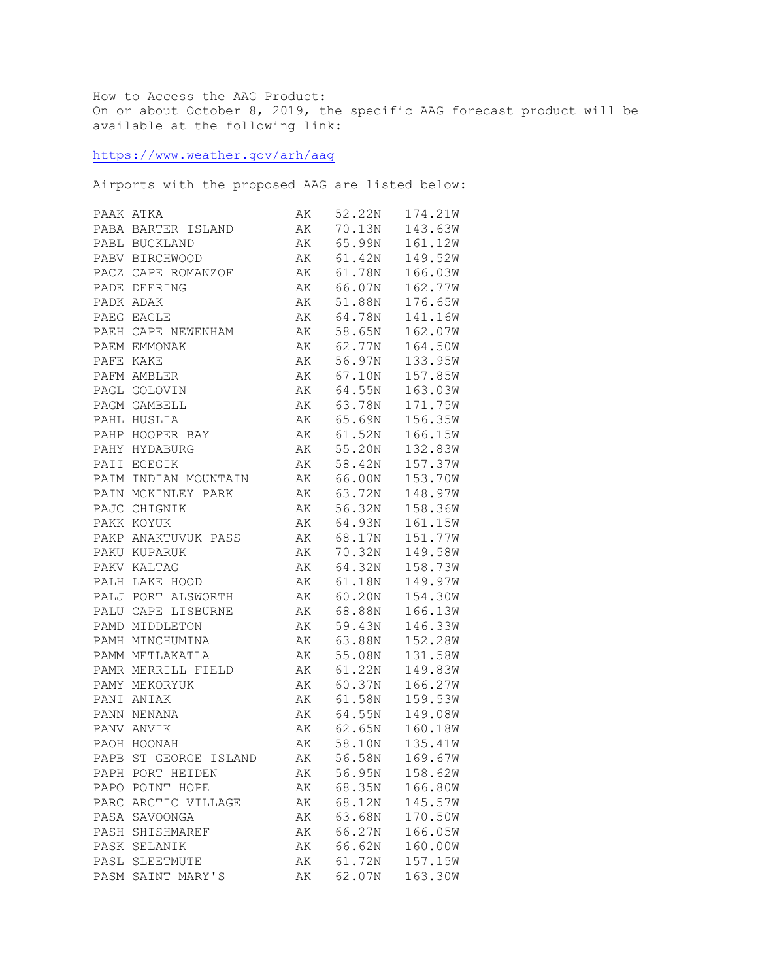How to Access the AAG Product: On or about October 8, 2019, the specific AAG forecast product will be available at the following link:

<https://www.weather.gov/arh/aag>

Airports with the proposed AAG are listed below:

|      | PAAK ATKA             | AK | 52.22N    | 174.21W |
|------|-----------------------|----|-----------|---------|
|      | PABA BARTER ISLAND    | AK | 70.13N    | 143.63W |
|      | PABL BUCKLAND         | AK | 65.99N    | 161.12W |
|      | PABV BIRCHWOOD        | AK | 61.42N    | 149.52W |
|      | PACZ CAPE ROMANZOF    | АK | 61.78N    | 166.03W |
|      | PADE DEERING          | AK | 66.07N    | 162.77W |
|      | PADK ADAK             | АK | 51.88N    | 176.65W |
|      | PAEG EAGLE            | AK | 64.78N    | 141.16W |
|      | PAEH CAPE NEWENHAM    | AK | 58.65N    | 162.07W |
|      | PAEM EMMONAK          | AK | 62.77N    | 164.50W |
|      | PAFE KAKE             | AK | 56.97N    | 133.95W |
|      | PAFM AMBLER           | AK | 67.10N    | 157.85W |
|      | PAGL GOLOVIN          | АK | 64.55N    | 163.03W |
|      | PAGM GAMBELL          | AK | 63.78N    | 171.75W |
|      | PAHL HUSLIA           | AK | 65.69N    | 156.35W |
|      | PAHP HOOPER BAY       | AK | 61.52N    | 166.15W |
|      | PAHY HYDABURG         | AK | 55.20N    | 132.83W |
|      | PAII EGEGIK           | AK | 58.42N    | 157.37W |
|      | PAIM INDIAN MOUNTAIN  | AK | 66.00N    | 153.70W |
|      | PAIN MCKINLEY PARK    | AK | 63.72N    | 148.97W |
|      | PAJC CHIGNIK          | AK | 56.32N    | 158.36W |
|      | PAKK KOYUK            | AK | 64.93N    | 161.15W |
|      | PAKP ANAKTUVUK PASS   | AK | 68.17N    | 151.77W |
|      | PAKU KUPARUK          | AK | 70.32N    | 149.58W |
|      | PAKV KALTAG           | AK | 64.32N    | 158.73W |
|      | PALH LAKE HOOD        | AK | 61.18N    | 149.97W |
|      | PALJ PORT ALSWORTH    | AK | 60.20N    | 154.30W |
|      | PALU CAPE LISBURNE    | AK | 68.88N    | 166.13W |
|      | PAMD MIDDLETON        | AK | 59.43N    | 146.33W |
|      | PAMH MINCHUMINA       | AK | 63.88N    | 152.28W |
|      | PAMM METLAKATLA       | AK | 55.08N    | 131.58W |
|      | PAMR MERRILL FIELD    | AK | 61.22N    | 149.83W |
|      | PAMY MEKORYUK         | AK | 60.37N    | 166.27W |
|      | PANI ANIAK            | AK | 61.58N    | 159.53W |
|      | PANN NENANA           | AK | 64.55N    | 149.08W |
|      | PANV ANVIK            | AK | 62.65N    | 160.18W |
|      | PAOH HOONAH           |    | AK 58.10N | 135.41W |
|      | PAPB ST GEORGE ISLAND | AK | 56.58N    | 169.67W |
|      | PAPH PORT HEIDEN      | AК | 56.95N    | 158.62W |
| PAPO | POINT HOPE            | АK | 68.35N    | 166.80W |
| PARC | ARCTIC VILLAGE        | АK | 68.12N    | 145.57W |
| PASA | SAVOONGA              | АK | 63.68N    | 170.50W |
| PASH | SHISHMAREF            | AΚ | 66.27N    | 166.05W |
| PASK | SELANIK               | AΚ | 66.62N    | 160.00W |
| PASL | SLEETMUTE             | AΚ | 61.72N    | 157.15W |
| PASM | SAINT MARY'S          | AΚ | 62.07N    | 163.30W |